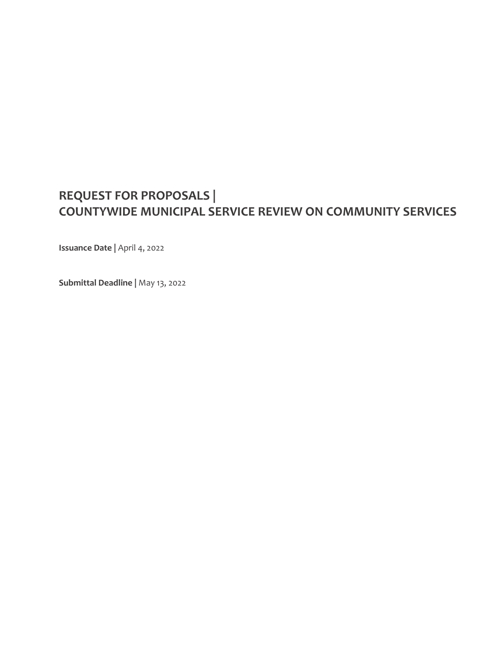# **REQUEST FOR PROPOSALS | COUNTYWIDE MUNICIPAL SERVICE REVIEW ON COMMUNITY SERVICES**

**Issuance Date |** April 4, 2022

**Submittal Deadline |** May 13, 2022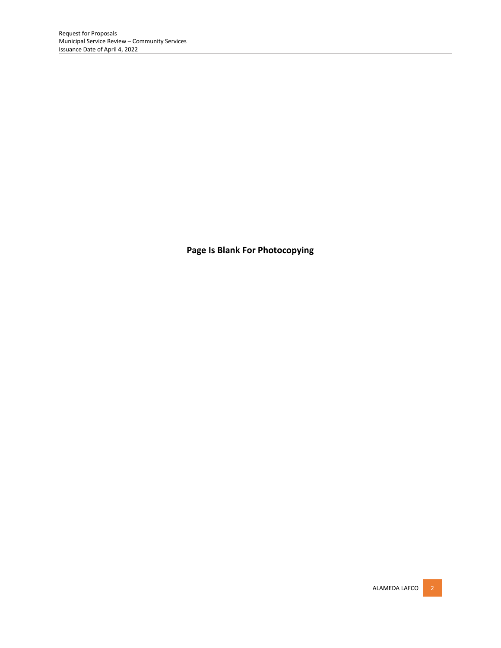**Page Is Blank For Photocopying**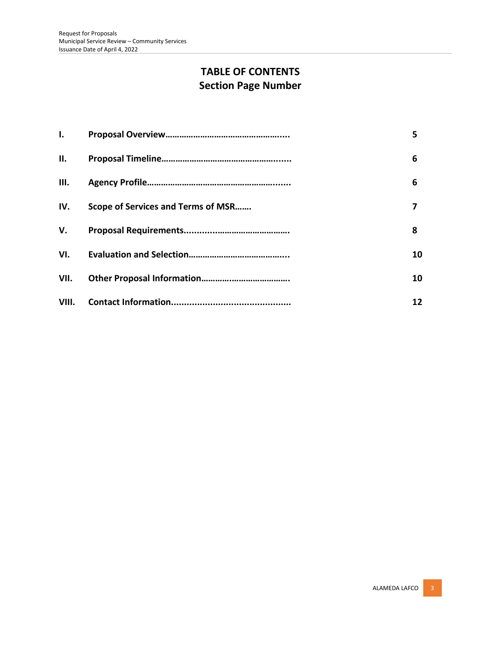# **TABLE OF CONTENTS Section Page Number**

| $\mathbf{L}$ |                                    | 5. |
|--------------|------------------------------------|----|
| Ш.           |                                    | 6  |
| III.         |                                    | 6  |
| IV.          | Scope of Services and Terms of MSR |    |
| V.           |                                    | 8  |
| VI.          |                                    | 10 |
| VII.         |                                    | 10 |
| VIII.        |                                    | 12 |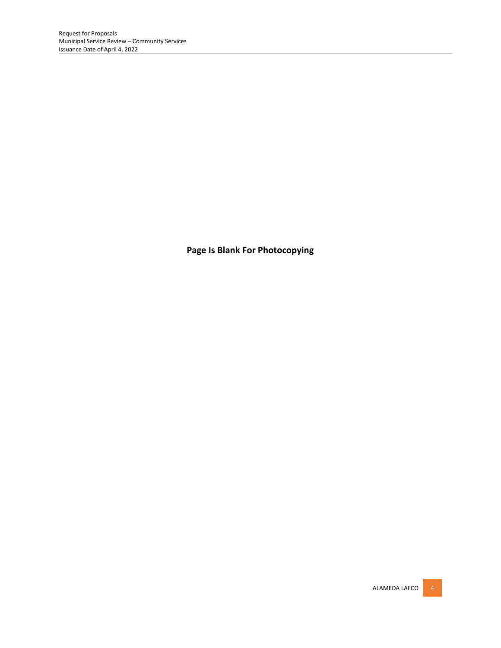**Page Is Blank For Photocopying**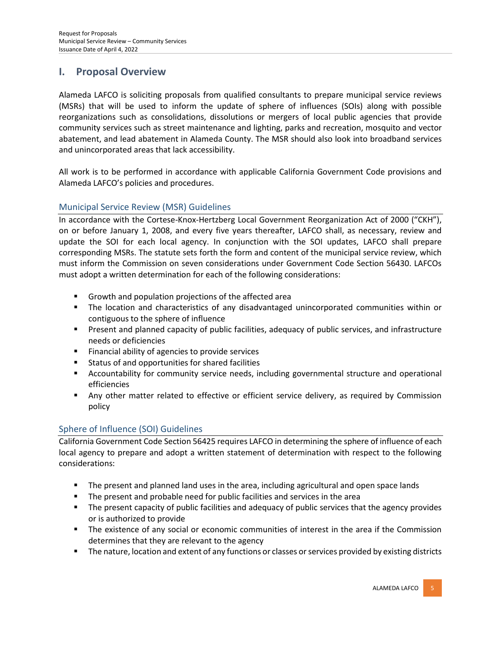### **I. Proposal Overview**

Alameda LAFCO is soliciting proposals from qualified consultants to prepare municipal service reviews (MSRs) that will be used to inform the update of sphere of influences (SOIs) along with possible reorganizations such as consolidations, dissolutions or mergers of local public agencies that provide community services such as street maintenance and lighting, parks and recreation, mosquito and vector abatement, and lead abatement in Alameda County. The MSR should also look into broadband services and unincorporated areas that lack accessibility.

All work is to be performed in accordance with applicable California Government Code provisions and Alameda LAFCO's policies and procedures.

### Municipal Service Review (MSR) Guidelines

In accordance with the Cortese-Knox-Hertzberg Local Government Reorganization Act of 2000 ("CKH"), on or before January 1, 2008, and every five years thereafter, LAFCO shall, as necessary, review and update the SOI for each local agency. In conjunction with the SOI updates, LAFCO shall prepare corresponding MSRs. The statute sets forth the form and content of the municipal service review, which must inform the Commission on seven considerations under Government Code Section 56430. LAFCOs must adopt a written determination for each of the following considerations:

- Growth and population projections of the affected area
- **■** The location and characteristics of any disadvantaged unincorporated communities within or contiguous to the sphere of influence
- **•** Present and planned capacity of public facilities, adequacy of public services, and infrastructure needs or deficiencies
- Financial ability of agencies to provide services
- Status of and opportunities for shared facilities
- **EXECOUNTER 19 Accountability for community service needs, including governmental structure and operational** efficiencies
- **■** Any other matter related to effective or efficient service delivery, as required by Commission policy

### Sphere of Influence (SOI) Guidelines

California Government Code Section 56425 requires LAFCO in determining the sphere of influence of each local agency to prepare and adopt a written statement of determination with respect to the following considerations:

- The present and planned land uses in the area, including agricultural and open space lands
- The present and probable need for public facilities and services in the area
- **•** The present capacity of public facilities and adequacy of public services that the agency provides or is authorized to provide
- **•** The existence of any social or economic communities of interest in the area if the Commission determines that they are relevant to the agency
- **■** The nature, location and extent of any functions or classes or services provided by existing districts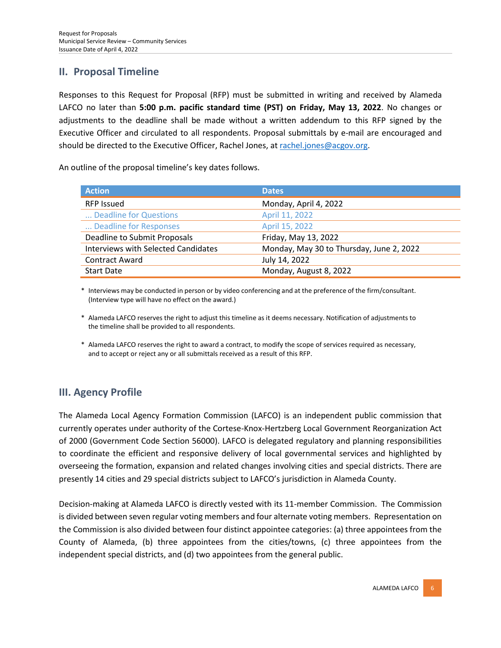### **II. Proposal Timeline**

Responses to this Request for Proposal (RFP) must be submitted in writing and received by Alameda LAFCO no later than **5:00 p.m. pacific standard time (PST) on Friday, May 13, 2022**. No changes or adjustments to the deadline shall be made without a written addendum to this RFP signed by the Executive Officer and circulated to all respondents. Proposal submittals by e-mail are encouraged and should be directed to the Executive Officer, Rachel Jones, at [rachel.jones@acgov.org.](mailto:rachel.jones@acgov.org)

An outline of the proposal timeline's key dates follows.

| <b>Action</b>                              | <b>Dates</b>                             |
|--------------------------------------------|------------------------------------------|
| <b>RFP Issued</b>                          | Monday, April 4, 2022                    |
| Deadline for Questions                     | April 11, 2022                           |
| Deadline for Responses                     | April 15, 2022                           |
| Deadline to Submit Proposals               | Friday, May 13, 2022                     |
| <b>Interviews with Selected Candidates</b> | Monday, May 30 to Thursday, June 2, 2022 |
| <b>Contract Award</b>                      | July 14, 2022                            |
| <b>Start Date</b>                          | Monday, August 8, 2022                   |

\* Interviews may be conducted in person or by video conferencing and at the preference of the firm/consultant. (Interview type will have no effect on the award.)

- \* Alameda LAFCO reserves the right to adjust this timeline as it deems necessary. Notification of adjustments to the timeline shall be provided to all respondents.
- \* Alameda LAFCO reserves the right to award a contract, to modify the scope of services required as necessary, and to accept or reject any or all submittals received as a result of this RFP.

### **III. Agency Profile**

The Alameda Local Agency Formation Commission (LAFCO) is an independent public commission that currently operates under authority of the Cortese-Knox-Hertzberg Local Government Reorganization Act of 2000 (Government Code Section 56000). LAFCO is delegated regulatory and planning responsibilities to coordinate the efficient and responsive delivery of local governmental services and highlighted by overseeing the formation, expansion and related changes involving cities and special districts. There are presently 14 cities and 29 special districts subject to LAFCO's jurisdiction in Alameda County.

Decision-making at Alameda LAFCO is directly vested with its 11-member Commission. The Commission is divided between seven regular voting members and four alternate voting members. Representation on the Commission is also divided between four distinct appointee categories: (a) three appointees from the County of Alameda, (b) three appointees from the cities/towns, (c) three appointees from the independent special districts, and (d) two appointees from the general public.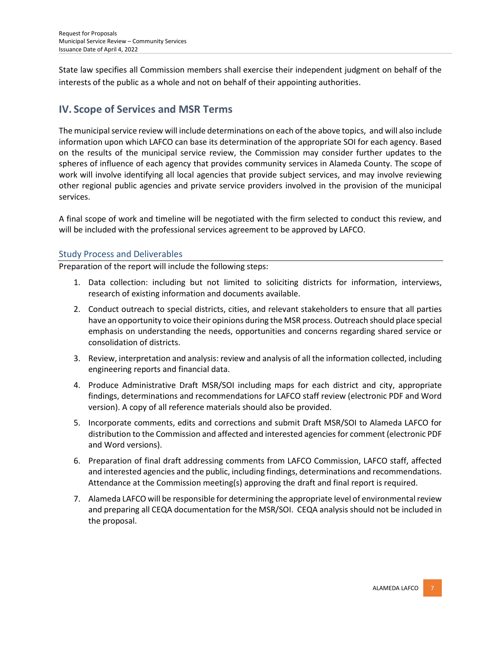State law specifies all Commission members shall exercise their independent judgment on behalf of the interests of the public as a whole and not on behalf of their appointing authorities.

### **IV. Scope of Services and MSR Terms**

The municipal service review will include determinations on each of the above topics, and will also include information upon which LAFCO can base its determination of the appropriate SOI for each agency. Based on the results of the municipal service review, the Commission may consider further updates to the spheres of influence of each agency that provides community services in Alameda County. The scope of work will involve identifying all local agencies that provide subject services, and may involve reviewing other regional public agencies and private service providers involved in the provision of the municipal services.

A final scope of work and timeline will be negotiated with the firm selected to conduct this review, and will be included with the professional services agreement to be approved by LAFCO.

### Study Process and Deliverables

Preparation of the report will include the following steps:

- 1. Data collection: including but not limited to soliciting districts for information, interviews, research of existing information and documents available.
- 2. Conduct outreach to special districts, cities, and relevant stakeholders to ensure that all parties have an opportunity to voice their opinions during the MSR process. Outreach should place special emphasis on understanding the needs, opportunities and concerns regarding shared service or consolidation of districts.
- 3. Review, interpretation and analysis: review and analysis of all the information collected, including engineering reports and financial data.
- 4. Produce Administrative Draft MSR/SOI including maps for each district and city, appropriate findings, determinations and recommendations for LAFCO staff review (electronic PDF and Word version). A copy of all reference materials should also be provided.
- 5. Incorporate comments, edits and corrections and submit Draft MSR/SOI to Alameda LAFCO for distribution to the Commission and affected and interested agencies for comment (electronic PDF and Word versions).
- 6. Preparation of final draft addressing comments from LAFCO Commission, LAFCO staff, affected and interested agencies and the public, including findings, determinations and recommendations. Attendance at the Commission meeting(s) approving the draft and final report is required.
- 7. Alameda LAFCO will be responsible for determining the appropriate level of environmental review and preparing all CEQA documentation for the MSR/SOI. CEQA analysis should not be included in the proposal.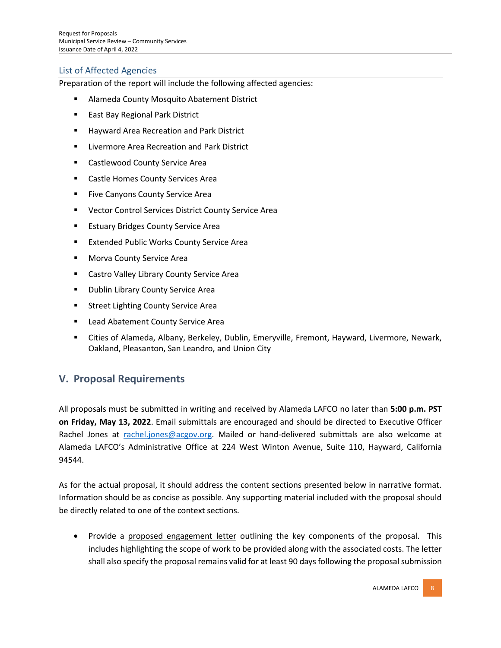### List of Affected Agencies

Preparation of the report will include the following affected agencies:

- Alameda County Mosquito Abatement District
- East Bay Regional Park District
- Hayward Area Recreation and Park District
- Livermore Area Recreation and Park District
- Castlewood County Service Area
- Castle Homes County Services Area
- Five Canyons County Service Area
- Vector Control Services District County Service Area
- Estuary Bridges County Service Area
- **Extended Public Works County Service Area**
- Morva County Service Area
- Castro Valley Library County Service Area
- **Dublin Library County Service Area**
- **EXECT:** Street Lighting County Service Area
- Lead Abatement County Service Area
- Cities of Alameda, Albany, Berkeley, Dublin, Emeryville, Fremont, Hayward, Livermore, Newark, Oakland, Pleasanton, San Leandro, and Union City

### **V. Proposal Requirements**

All proposals must be submitted in writing and received by Alameda LAFCO no later than **5:00 p.m. PST on Friday, May 13, 2022**. Email submittals are encouraged and should be directed to Executive Officer Rachel Jones at [rachel.jones@acgov.org.](mailto:rachel.jones@acgov.org) Mailed or hand-delivered submittals are also welcome at Alameda LAFCO's Administrative Office at 224 West Winton Avenue, Suite 110, Hayward, California 94544.

As for the actual proposal, it should address the content sections presented below in narrative format. Information should be as concise as possible. Any supporting material included with the proposal should be directly related to one of the context sections.

• Provide a proposed engagement letter outlining the key components of the proposal. This includes highlighting the scope of work to be provided along with the associated costs. The letter shall also specify the proposal remains valid for at least 90 days following the proposal submission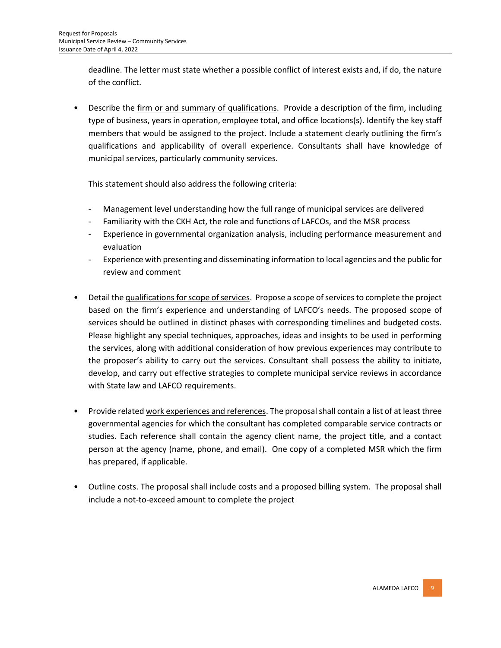deadline. The letter must state whether a possible conflict of interest exists and, if do, the nature of the conflict.

• Describe the firm or and summary of qualifications. Provide a description of the firm, including type of business, years in operation, employee total, and office locations(s). Identify the key staff members that would be assigned to the project. Include a statement clearly outlining the firm's qualifications and applicability of overall experience. Consultants shall have knowledge of municipal services, particularly community services.

This statement should also address the following criteria:

- Management level understanding how the full range of municipal services are delivered
- Familiarity with the CKH Act, the role and functions of LAFCOs, and the MSR process
- Experience in governmental organization analysis, including performance measurement and evaluation
- Experience with presenting and disseminating information to local agencies and the public for review and comment
- Detail the qualifications forscope of services. Propose a scope of services to complete the project based on the firm's experience and understanding of LAFCO's needs. The proposed scope of services should be outlined in distinct phases with corresponding timelines and budgeted costs. Please highlight any special techniques, approaches, ideas and insights to be used in performing the services, along with additional consideration of how previous experiences may contribute to the proposer's ability to carry out the services. Consultant shall possess the ability to initiate, develop, and carry out effective strategies to complete municipal service reviews in accordance with State law and LAFCO requirements.
- Provide related work experiences and references. The proposal shall contain a list of at least three governmental agencies for which the consultant has completed comparable service contracts or studies. Each reference shall contain the agency client name, the project title, and a contact person at the agency (name, phone, and email). One copy of a completed MSR which the firm has prepared, if applicable.
- Outline costs. The proposal shall include costs and a proposed billing system. The proposal shall include a not-to-exceed amount to complete the project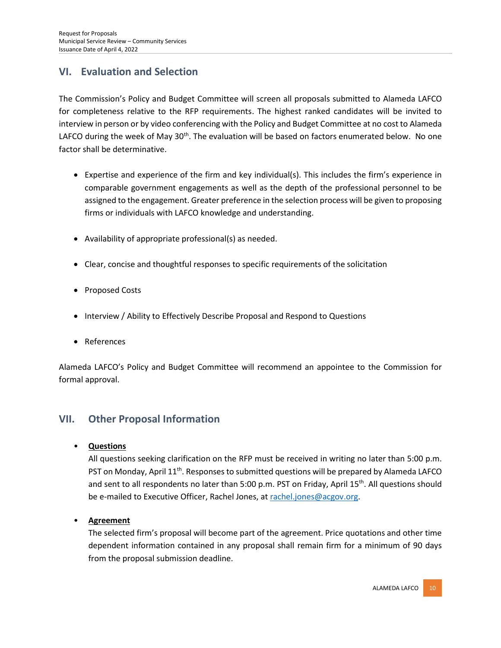## **VI. Evaluation and Selection**

The Commission's Policy and Budget Committee will screen all proposals submitted to Alameda LAFCO for completeness relative to the RFP requirements. The highest ranked candidates will be invited to interview in person or by video conferencing with the Policy and Budget Committee at no cost to Alameda LAFCO during the week of May 30<sup>th</sup>. The evaluation will be based on factors enumerated below. No one factor shall be determinative.

- Expertise and experience of the firm and key individual(s). This includes the firm's experience in comparable government engagements as well as the depth of the professional personnel to be assigned to the engagement. Greater preference in the selection process will be given to proposing firms or individuals with LAFCO knowledge and understanding.
- Availability of appropriate professional(s) as needed.
- Clear, concise and thoughtful responses to specific requirements of the solicitation
- Proposed Costs
- Interview / Ability to Effectively Describe Proposal and Respond to Questions
- References

Alameda LAFCO's Policy and Budget Committee will recommend an appointee to the Commission for formal approval.

### **VII. Other Proposal Information**

• **Questions**

All questions seeking clarification on the RFP must be received in writing no later than 5:00 p.m. PST on Monday, April 11<sup>th</sup>. Responses to submitted questions will be prepared by Alameda LAFCO and sent to all respondents no later than 5:00 p.m. PST on Friday, April 15<sup>th</sup>. All questions should be e-mailed to Executive Officer, Rachel Jones, at [rachel.jones@acgov.org.](mailto:rachel.jones@acgov.org)

• **Agreement**

The selected firm's proposal will become part of the agreement. Price quotations and other time dependent information contained in any proposal shall remain firm for a minimum of 90 days from the proposal submission deadline.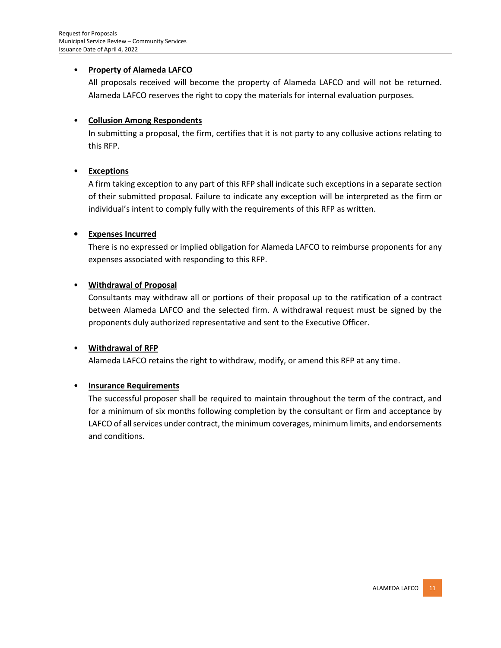#### • **Property of Alameda LAFCO**

All proposals received will become the property of Alameda LAFCO and will not be returned. Alameda LAFCO reserves the right to copy the materials for internal evaluation purposes.

#### • **Collusion Among Respondents**

In submitting a proposal, the firm, certifies that it is not party to any collusive actions relating to this RFP.

#### • **Exceptions**

A firm taking exception to any part of this RFP shall indicate such exceptions in a separate section of their submitted proposal. Failure to indicate any exception will be interpreted as the firm or individual's intent to comply fully with the requirements of this RFP as written.

#### **• Expenses Incurred**

There is no expressed or implied obligation for Alameda LAFCO to reimburse proponents for any expenses associated with responding to this RFP.

#### • **Withdrawal of Proposal**

Consultants may withdraw all or portions of their proposal up to the ratification of a contract between Alameda LAFCO and the selected firm. A withdrawal request must be signed by the proponents duly authorized representative and sent to the Executive Officer.

### • **Withdrawal of RFP**

Alameda LAFCO retains the right to withdraw, modify, or amend this RFP at any time.

### • **Insurance Requirements**

The successful proposer shall be required to maintain throughout the term of the contract, and for a minimum of six months following completion by the consultant or firm and acceptance by LAFCO of all services under contract, the minimum coverages, minimum limits, and endorsements and conditions.